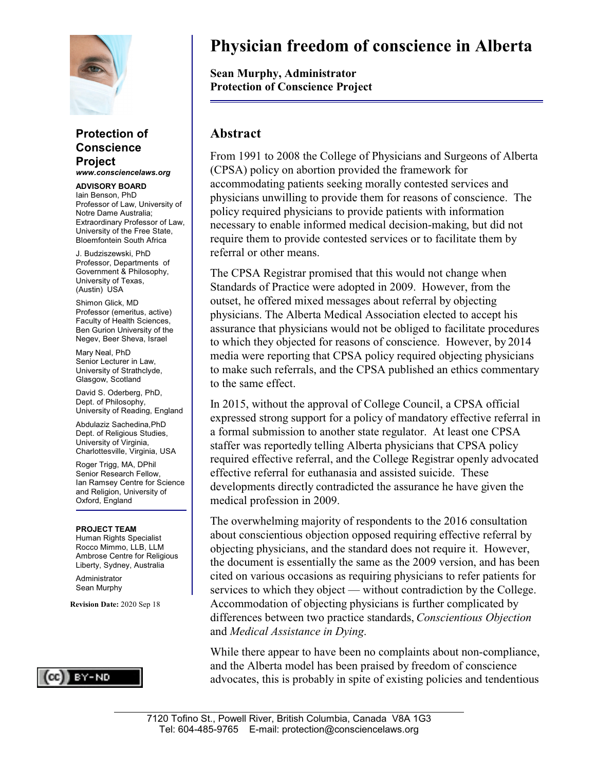

#### **Protection of Conscience Project** *www.consciencelaws.org*

**ADVISORY BOARD** Iain Benson, PhD Professor of Law, University of Notre Dame Australia; Extraordinary Professor of Law, University of the Free State, Bloemfontein South Africa

J. Budziszewski, PhD Professor, Departments of Government & Philosophy, University of Texas, (Austin) USA

Shimon Glick, MD Professor (emeritus, active) Faculty of Health Sciences, Ben Gurion University of the Negev, Beer Sheva, Israel

Mary Neal, PhD Senior Lecturer in Law, University of Strathclyde, Glasgow, Scotland

David S. Oderberg, PhD, Dept. of Philosophy, University of Reading, England

Abdulaziz Sachedina,PhD Dept. of Religious Studies, University of Virginia, Charlottesville, Virginia, USA

Roger Trigg, MA, DPhil Senior Research Fellow, Ian Ramsey Centre for Science and Religion, University of Oxford, England

#### **PROJECT TEAM**

Human Rights Specialist Rocco Mimmo, LLB, LLM Ambrose Centre for Religious Liberty, Sydney, Australia

Administrator Sean Murphy

**Revision Date:** 2020 Sep 18



# **Physician freedom of conscience in Alberta**

**Sean Murphy, Administrator Protection of Conscience Project**

#### **Abstract**

From 1991 to 2008 the College of Physicians and Surgeons of Alberta (CPSA) policy on abortion provided the framework for accommodating patients seeking morally contested services and physicians unwilling to provide them for reasons of conscience. The policy required physicians to provide patients with information necessary to enable informed medical decision-making, but did not require them to provide contested services or to facilitate them by referral or other means.

The CPSA Registrar promised that this would not change when Standards of Practice were adopted in 2009. However, from the outset, he offered mixed messages about referral by objecting physicians. The Alberta Medical Association elected to accept his assurance that physicians would not be obliged to facilitate procedures to which they objected for reasons of conscience. However, by 2014 media were reporting that CPSA policy required objecting physicians to make such referrals, and the CPSA published an ethics commentary to the same effect.

In 2015, without the approval of College Council, a CPSA official expressed strong support for a policy of mandatory effective referral in a formal submission to another state regulator. At least one CPSA staffer was reportedly telling Alberta physicians that CPSA policy required effective referral, and the College Registrar openly advocated effective referral for euthanasia and assisted suicide. These developments directly contradicted the assurance he have given the medical profession in 2009.

The overwhelming majority of respondents to the 2016 consultation about conscientious objection opposed requiring effective referral by objecting physicians, and the standard does not require it. However, the document is essentially the same as the 2009 version, and has been cited on various occasions as requiring physicians to refer patients for services to which they object — without contradiction by the College. Accommodation of objecting physicians is further complicated by differences between two practice standards, *Conscientious Objection* and *Medical Assistance in Dying*.

While there appear to have been no complaints about non-compliance, and the Alberta model has been praised by freedom of conscience advocates, this is probably in spite of existing policies and tendentious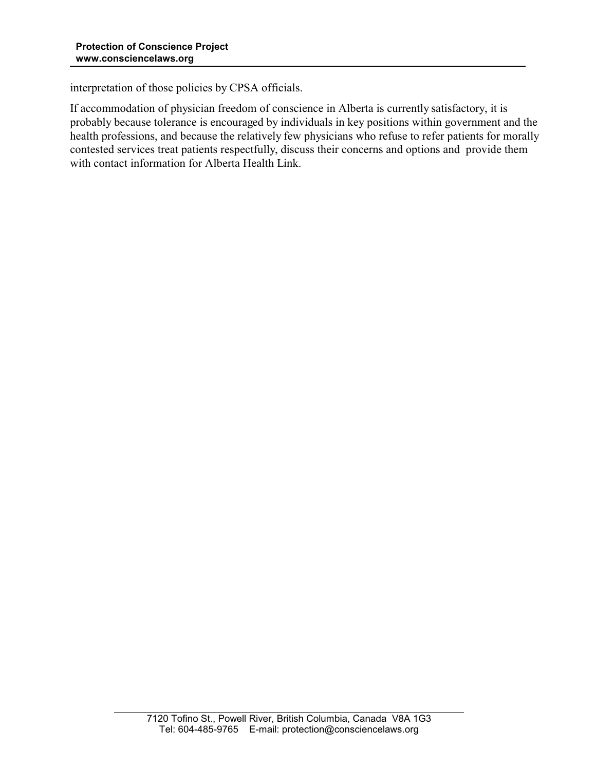interpretation of those policies by CPSA officials.

If accommodation of physician freedom of conscience in Alberta is currently satisfactory, it is probably because tolerance is encouraged by individuals in key positions within government and the health professions, and because the relatively few physicians who refuse to refer patients for morally contested services treat patients respectfully, discuss their concerns and options and provide them with contact information for Alberta Health Link.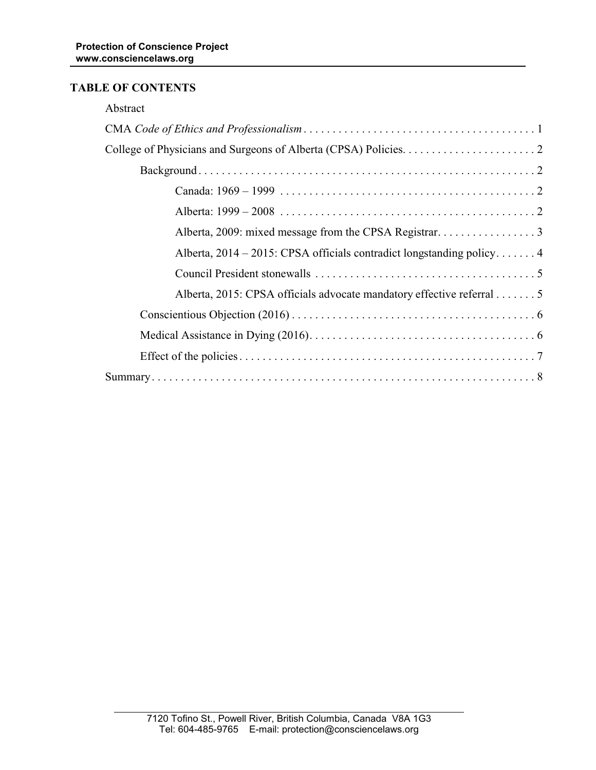# **TABLE OF CONTENTS**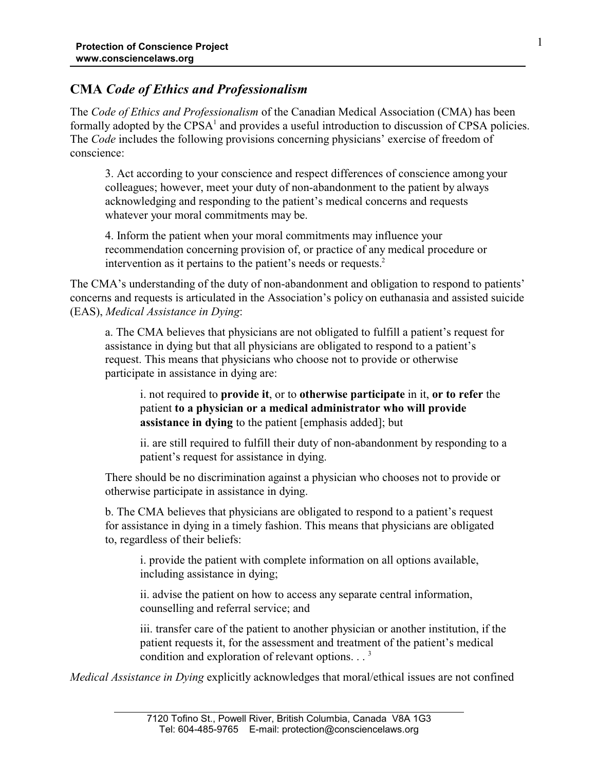# **CMA** *Code of Ethics and Professionalism*

The *Code of Ethics and Professionalism* of the Canadian Medical Association (CMA) has been formally adopted by the CPSA<sup>1</sup> and provides a useful introduction to discussion of CPSA policies. The *Code* includes the following provisions concerning physicians' exercise of freedom of conscience:

3. Act according to your conscience and respect differences of conscience among your colleagues; however, meet your duty of non-abandonment to the patient by always acknowledging and responding to the patient's medical concerns and requests whatever your moral commitments may be.

4. Inform the patient when your moral commitments may influence your recommendation concerning provision of, or practice of any medical procedure or intervention as it pertains to the patient's needs or requests.<sup>2</sup>

The CMA's understanding of the duty of non-abandonment and obligation to respond to patients' concerns and requests is articulated in the Association's policy on euthanasia and assisted suicide (EAS), *Medical Assistance in Dying*:

a. The CMA believes that physicians are not obligated to fulfill a patient's request for assistance in dying but that all physicians are obligated to respond to a patient's request. This means that physicians who choose not to provide or otherwise participate in assistance in dying are:

i. not required to **provide it**, or to **otherwise participate** in it, **or to refer** the patient **to a physician or a medical administrator who will provide assistance in dying** to the patient [emphasis added]; but

ii. are still required to fulfill their duty of non-abandonment by responding to a patient's request for assistance in dying.

There should be no discrimination against a physician who chooses not to provide or otherwise participate in assistance in dying.

b. The CMA believes that physicians are obligated to respond to a patient's request for assistance in dying in a timely fashion. This means that physicians are obligated to, regardless of their beliefs:

i. provide the patient with complete information on all options available, including assistance in dying;

ii. advise the patient on how to access any separate central information, counselling and referral service; and

iii. transfer care of the patient to another physician or another institution, if the patient requests it, for the assessment and treatment of the patient's medical condition and exploration of relevant options.  $\cdot$ .<sup>3</sup>

*Medical Assistance in Dying* explicitly acknowledges that moral/ethical issues are not confined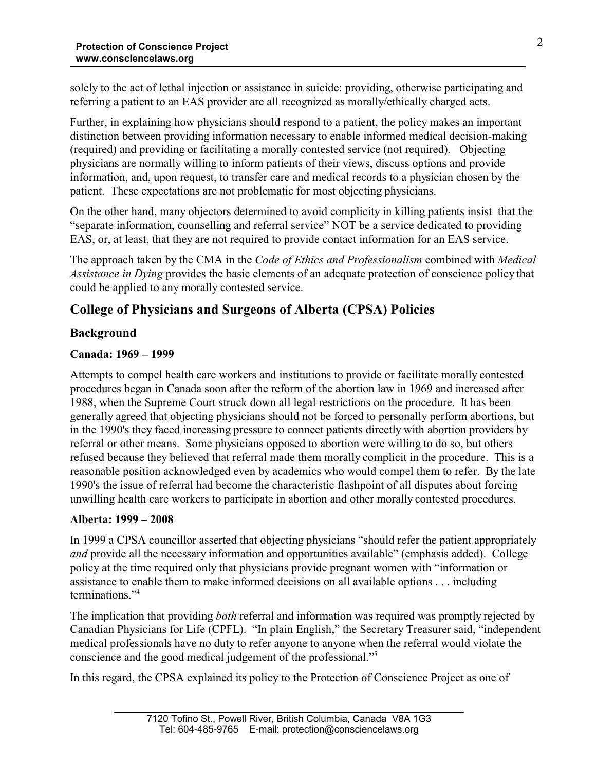solely to the act of lethal injection or assistance in suicide: providing, otherwise participating and referring a patient to an EAS provider are all recognized as morally/ethically charged acts.

Further, in explaining how physicians should respond to a patient, the policy makes an important distinction between providing information necessary to enable informed medical decision-making (required) and providing or facilitating a morally contested service (not required). Objecting physicians are normally willing to inform patients of their views, discuss options and provide information, and, upon request, to transfer care and medical records to a physician chosen by the patient. These expectations are not problematic for most objecting physicians.

On the other hand, many objectors determined to avoid complicity in killing patients insist that the "separate information, counselling and referral service" NOT be a service dedicated to providing EAS, or, at least, that they are not required to provide contact information for an EAS service.

The approach taken by the CMA in the *Code of Ethics and Professionalism* combined with *Medical Assistance in Dying* provides the basic elements of an adequate protection of conscience policy that could be applied to any morally contested service.

# **College of Physicians and Surgeons of Alberta (CPSA) Policies**

# **Background**

## **Canada: 1969 – 1999**

Attempts to compel health care workers and institutions to provide or facilitate morally contested procedures began in Canada soon after the reform of the abortion law in 1969 and increased after 1988, when the Supreme Court struck down all legal restrictions on the procedure. It has been generally agreed that objecting physicians should not be forced to personally perform abortions, but in the 1990's they faced increasing pressure to connect patients directly with abortion providers by referral or other means. Some physicians opposed to abortion were willing to do so, but others refused because they believed that referral made them morally complicit in the procedure. This is a reasonable position acknowledged even by academics who would compel them to refer. By the late 1990's the issue of referral had become the characteristic flashpoint of all disputes about forcing unwilling health care workers to participate in abortion and other morally contested procedures.

#### **Alberta: 1999 – 2008**

In 1999 a CPSA councillor asserted that objecting physicians "should refer the patient appropriately *and* provide all the necessary information and opportunities available" (emphasis added). College policy at the time required only that physicians provide pregnant women with "information or assistance to enable them to make informed decisions on all available options . . . including terminations."<sup>4</sup>

The implication that providing *both* referral and information was required was promptly rejected by Canadian Physicians for Life (CPFL). "In plain English," the Secretary Treasurer said, "independent medical professionals have no duty to refer anyone to anyone when the referral would violate the conscience and the good medical judgement of the professional."<sup>5</sup>

In this regard, the CPSA explained its policy to the Protection of Conscience Project as one of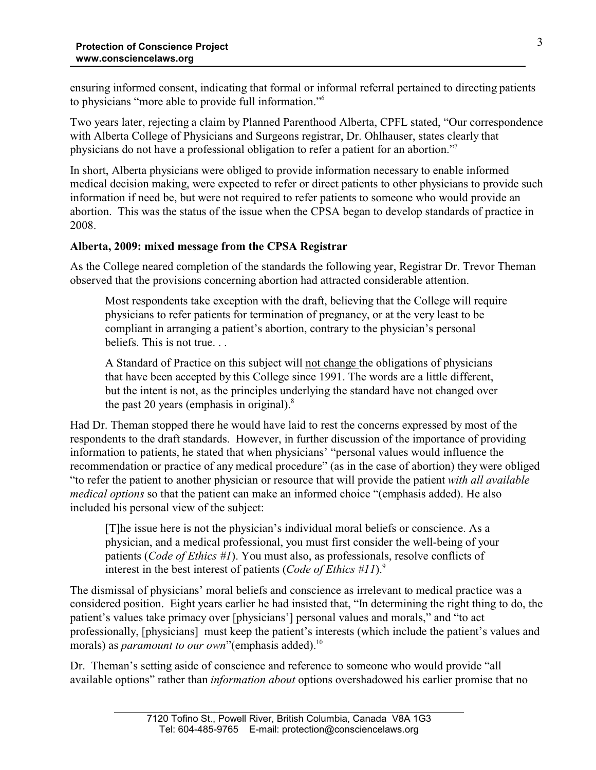ensuring informed consent, indicating that formal or informal referral pertained to directing patients to physicians "more able to provide full information."<sup>6</sup>

Two years later, rejecting a claim by Planned Parenthood Alberta, CPFL stated, "Our correspondence with Alberta College of Physicians and Surgeons registrar, Dr. Ohlhauser, states clearly that physicians do not have a professional obligation to refer a patient for an abortion."<sup>7</sup>

In short, Alberta physicians were obliged to provide information necessary to enable informed medical decision making, were expected to refer or direct patients to other physicians to provide such information if need be, but were not required to refer patients to someone who would provide an abortion. This was the status of the issue when the CPSA began to develop standards of practice in 2008.

#### **Alberta, 2009: mixed message from the CPSA Registrar**

As the College neared completion of the standards the following year, Registrar Dr. Trevor Theman observed that the provisions concerning abortion had attracted considerable attention.

Most respondents take exception with the draft, believing that the College will require physicians to refer patients for termination of pregnancy, or at the very least to be compliant in arranging a patient's abortion, contrary to the physician's personal beliefs. This is not true. . .

A Standard of Practice on this subject will not change the obligations of physicians that have been accepted by this College since 1991. The words are a little different, but the intent is not, as the principles underlying the standard have not changed over the past 20 years (emphasis in original). $8$ 

Had Dr. Theman stopped there he would have laid to rest the concerns expressed by most of the respondents to the draft standards. However, in further discussion of the importance of providing information to patients, he stated that when physicians' "personal values would influence the recommendation or practice of any medical procedure" (as in the case of abortion) they were obliged "to refer the patient to another physician or resource that will provide the patient *with all available medical options* so that the patient can make an informed choice "(emphasis added). He also included his personal view of the subject:

[T]he issue here is not the physician's individual moral beliefs or conscience. As a physician, and a medical professional, you must first consider the well-being of your patients (*Code of Ethics #1*). You must also, as professionals, resolve conflicts of interest in the best interest of patients (*Code of Ethics #11*).<sup>9</sup>

The dismissal of physicians' moral beliefs and conscience as irrelevant to medical practice was a considered position. Eight years earlier he had insisted that, "In determining the right thing to do, the patient's values take primacy over [physicians'] personal values and morals," and "to act professionally, [physicians] must keep the patient's interests (which include the patient's values and morals) as *paramount to our own*"(emphasis added).<sup>10</sup>

Dr. Theman's setting aside of conscience and reference to someone who would provide "all available options" rather than *information about* options overshadowed his earlier promise that no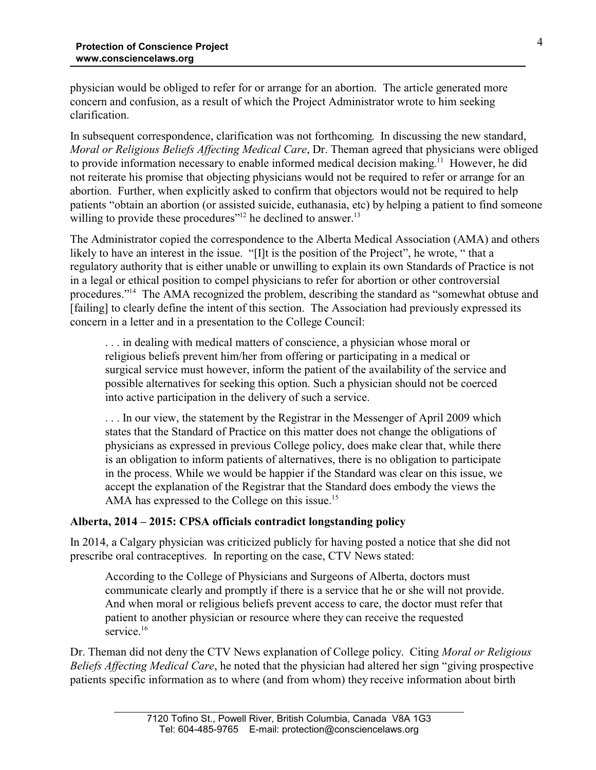physician would be obliged to refer for or arrange for an abortion. The article generated more concern and confusion, as a result of which the Project Administrator wrote to him seeking clarification.

In subsequent correspondence, clarification was not forthcoming. In discussing the new standard, *Moral or Religious Beliefs Affecting Medical Care*, Dr. Theman agreed that physicians were obliged to provide information necessary to enable informed medical decision making.<sup>11</sup> However, he did not reiterate his promise that objecting physicians would not be required to refer or arrange for an abortion. Further, when explicitly asked to confirm that objectors would not be required to help patients "obtain an abortion (or assisted suicide, euthanasia, etc) by helping a patient to find someone willing to provide these procedures"<sup>12</sup> he declined to answer.<sup>13</sup>

The Administrator copied the correspondence to the Alberta Medical Association (AMA) and others likely to have an interest in the issue. "[I]t is the position of the Project", he wrote, " that a regulatory authority that is either unable or unwilling to explain its own Standards of Practice is not in a legal or ethical position to compel physicians to refer for abortion or other controversial procedures."<sup>14</sup> The AMA recognized the problem, describing the standard as "somewhat obtuse and [failing] to clearly define the intent of this section. The Association had previously expressed its concern in a letter and in a presentation to the College Council:

. . . in dealing with medical matters of conscience, a physician whose moral or religious beliefs prevent him/her from offering or participating in a medical or surgical service must however, inform the patient of the availability of the service and possible alternatives for seeking this option. Such a physician should not be coerced into active participation in the delivery of such a service.

. . . In our view, the statement by the Registrar in the Messenger of April 2009 which states that the Standard of Practice on this matter does not change the obligations of physicians as expressed in previous College policy, does make clear that, while there is an obligation to inform patients of alternatives, there is no obligation to participate in the process. While we would be happier if the Standard was clear on this issue, we accept the explanation of the Registrar that the Standard does embody the views the AMA has expressed to the College on this issue.<sup>15</sup>

#### **Alberta, 2014 – 2015: CPSA officials contradict longstanding policy**

In 2014, a Calgary physician was criticized publicly for having posted a notice that she did not prescribe oral contraceptives. In reporting on the case, CTV News stated:

According to the College of Physicians and Surgeons of Alberta, doctors must communicate clearly and promptly if there is a service that he or she will not provide. And when moral or religious beliefs prevent access to care, the doctor must refer that patient to another physician or resource where they can receive the requested service.<sup>16</sup>

Dr. Theman did not deny the CTV News explanation of College policy. Citing *Moral or Religious Beliefs Affecting Medical Care*, he noted that the physician had altered her sign "giving prospective patients specific information as to where (and from whom) they receive information about birth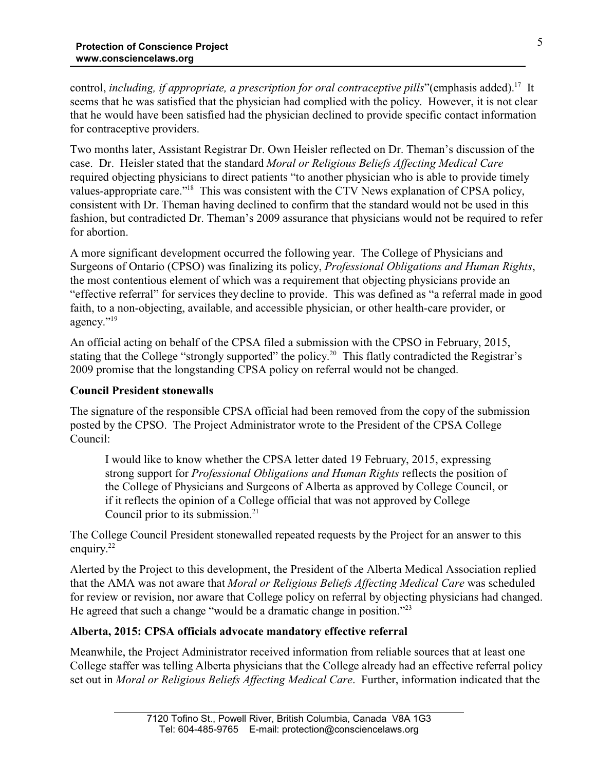control, *including, if appropriate, a prescription for oral contraceptive pills*"(emphasis added).<sup>17</sup> It seems that he was satisfied that the physician had complied with the policy. However, it is not clear that he would have been satisfied had the physician declined to provide specific contact information for contraceptive providers.

Two months later, Assistant Registrar Dr. Own Heisler reflected on Dr. Theman's discussion of the case. Dr. Heisler stated that the standard *Moral or Religious Beliefs Affecting Medical Care* required objecting physicians to direct patients "to another physician who is able to provide timely values-appropriate care."<sup>18</sup> This was consistent with the CTV News explanation of CPSA policy, consistent with Dr. Theman having declined to confirm that the standard would not be used in this fashion, but contradicted Dr. Theman's 2009 assurance that physicians would not be required to refer for abortion.

A more significant development occurred the following year. The College of Physicians and Surgeons of Ontario (CPSO) was finalizing its policy, *Professional Obligations and Human Rights*, the most contentious element of which was a requirement that objecting physicians provide an "effective referral" for services they decline to provide. This was defined as "a referral made in good faith, to a non-objecting, available, and accessible physician, or other health-care provider, or agency."<sup>19</sup>

An official acting on behalf of the CPSA filed a submission with the CPSO in February, 2015, stating that the College "strongly supported" the policy.<sup>20</sup> This flatly contradicted the Registrar's 2009 promise that the longstanding CPSA policy on referral would not be changed.

#### **Council President stonewalls**

The signature of the responsible CPSA official had been removed from the copy of the submission posted by the CPSO. The Project Administrator wrote to the President of the CPSA College Council:

I would like to know whether the CPSA letter dated 19 February, 2015, expressing strong support for *Professional Obligations and Human Rights* reflects the position of the College of Physicians and Surgeons of Alberta as approved by College Council, or if it reflects the opinion of a College official that was not approved by College Council prior to its submission.<sup>21</sup>

The College Council President stonewalled repeated requests by the Project for an answer to this enquiry.<sup>22</sup>

Alerted by the Project to this development, the President of the Alberta Medical Association replied that the AMA was not aware that *Moral or Religious Beliefs Affecting Medical Care* was scheduled for review or revision, nor aware that College policy on referral by objecting physicians had changed. He agreed that such a change "would be a dramatic change in position."<sup>23</sup>

#### **Alberta, 2015: CPSA officials advocate mandatory effective referral**

Meanwhile, the Project Administrator received information from reliable sources that at least one College staffer was telling Alberta physicians that the College already had an effective referral policy set out in *Moral or Religious Beliefs Affecting Medical Care*. Further, information indicated that the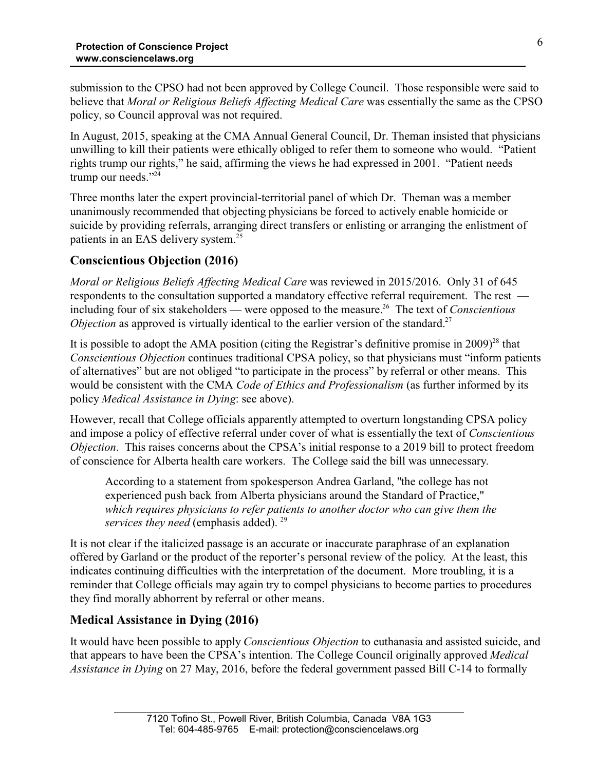submission to the CPSO had not been approved by College Council. Those responsible were said to believe that *Moral or Religious Beliefs Affecting Medical Care* was essentially the same as the CPSO policy, so Council approval was not required.

In August, 2015, speaking at the CMA Annual General Council, Dr. Theman insisted that physicians unwilling to kill their patients were ethically obliged to refer them to someone who would. "Patient rights trump our rights," he said, affirming the views he had expressed in 2001. "Patient needs trump our needs."24

Three months later the expert provincial-territorial panel of which Dr. Theman was a member unanimously recommended that objecting physicians be forced to actively enable homicide or suicide by providing referrals, arranging direct transfers or enlisting or arranging the enlistment of patients in an EAS delivery system.<sup>25</sup>

# **Conscientious Objection (2016)**

*Moral or Religious Beliefs Affecting Medical Care* was reviewed in 2015/2016. Only 31 of 645 respondents to the consultation supported a mandatory effective referral requirement. The rest including four of six stakeholders — were opposed to the measure.<sup>26</sup> The text of *Conscientious Objection* as approved is virtually identical to the earlier version of the standard.<sup>27</sup>

It is possible to adopt the AMA position (citing the Registrar's definitive promise in  $2009)^{28}$  that *Conscientious Objection* continues traditional CPSA policy, so that physicians must "inform patients of alternatives" but are not obliged "to participate in the process" by referral or other means. This would be consistent with the CMA *Code of Ethics and Professionalism* (as further informed by its policy *Medical Assistance in Dying*: see above).

However, recall that College officials apparently attempted to overturn longstanding CPSA policy and impose a policy of effective referral under cover of what is essentially the text of *Conscientious Objection*. This raises concerns about the CPSA's initial response to a 2019 bill to protect freedom of conscience for Alberta health care workers. The College said the bill was unnecessary.

According to a statement from spokesperson Andrea Garland, "the college has not experienced push back from Alberta physicians around the Standard of Practice," *which requires physicians to refer patients to another doctor who can give them the services they need (emphasis added).* <sup>29</sup>

It is not clear if the italicized passage is an accurate or inaccurate paraphrase of an explanation offered by Garland or the product of the reporter's personal review of the policy. At the least, this indicates continuing difficulties with the interpretation of the document. More troubling, it is a reminder that College officials may again try to compel physicians to become parties to procedures they find morally abhorrent by referral or other means.

## **Medical Assistance in Dying (2016)**

It would have been possible to apply *Conscientious Objection* to euthanasia and assisted suicide, and that appears to have been the CPSA's intention. The College Council originally approved *Medical Assistance in Dying* on 27 May, 2016, before the federal government passed Bill C-14 to formally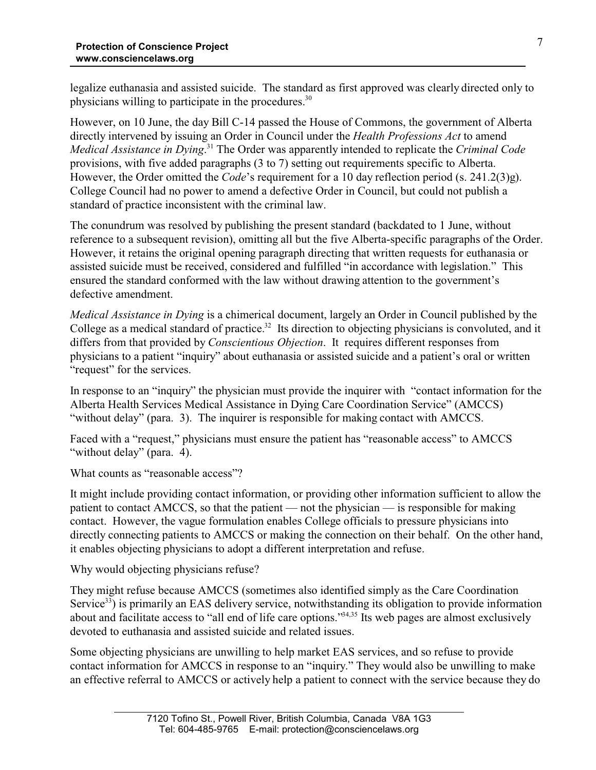legalize euthanasia and assisted suicide. The standard as first approved was clearly directed only to physicians willing to participate in the procedures.<sup>30</sup>

However, on 10 June, the day Bill C-14 passed the House of Commons, the government of Alberta directly intervened by issuing an Order in Council under the *Health Professions Act* to amend *Medical Assistance in Dying*. 31 The Order was apparently intended to replicate the *Criminal Code* provisions, with five added paragraphs (3 to 7) setting out requirements specific to Alberta. However, the Order omitted the *Code*'s requirement for a 10 day reflection period (s. 241.2(3)g). College Council had no power to amend a defective Order in Council, but could not publish a standard of practice inconsistent with the criminal law.

The conundrum was resolved by publishing the present standard (backdated to 1 June, without reference to a subsequent revision), omitting all but the five Alberta-specific paragraphs of the Order. However, it retains the original opening paragraph directing that written requests for euthanasia or assisted suicide must be received, considered and fulfilled "in accordance with legislation." This ensured the standard conformed with the law without drawing attention to the government's defective amendment.

*Medical Assistance in Dying* is a chimerical document, largely an Order in Council published by the College as a medical standard of practice.<sup>32</sup> Its direction to objecting physicians is convoluted, and it differs from that provided by *Conscientious Objection*. It requires different responses from physicians to a patient "inquiry" about euthanasia or assisted suicide and a patient's oral or written "request" for the services.

In response to an "inquiry" the physician must provide the inquirer with "contact information for the Alberta Health Services Medical Assistance in Dying Care Coordination Service" (AMCCS) "without delay" (para. 3). The inquirer is responsible for making contact with AMCCS.

Faced with a "request," physicians must ensure the patient has "reasonable access" to AMCCS "without delay" (para. 4).

What counts as "reasonable access"?

It might include providing contact information, or providing other information sufficient to allow the patient to contact AMCCS, so that the patient — not the physician — is responsible for making contact. However, the vague formulation enables College officials to pressure physicians into directly connecting patients to AMCCS or making the connection on their behalf. On the other hand, it enables objecting physicians to adopt a different interpretation and refuse.

Why would objecting physicians refuse?

They might refuse because AMCCS (sometimes also identified simply as the Care Coordination Service<sup>33</sup>) is primarily an EAS delivery service, notwithstanding its obligation to provide information about and facilitate access to "all end of life care options."<sup>34,35</sup> Its web pages are almost exclusively devoted to euthanasia and assisted suicide and related issues.

Some objecting physicians are unwilling to help market EAS services, and so refuse to provide contact information for AMCCS in response to an "inquiry." They would also be unwilling to make an effective referral to AMCCS or actively help a patient to connect with the service because they do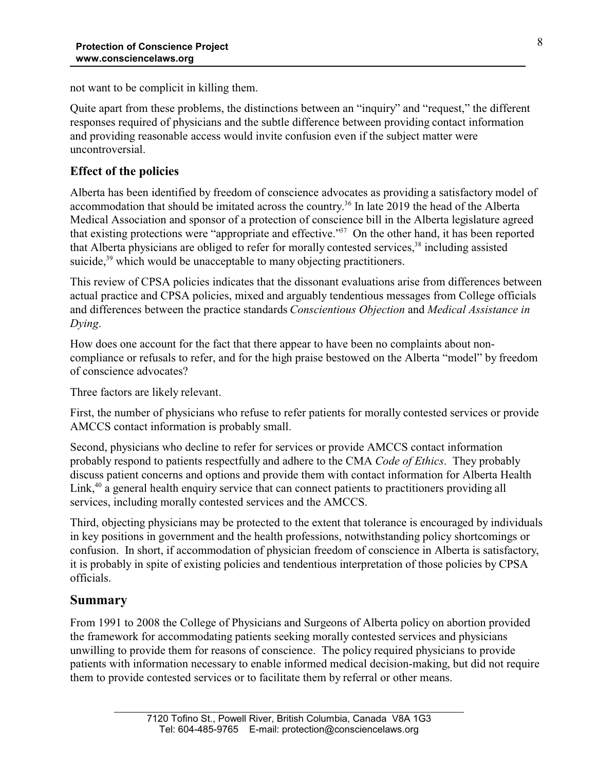not want to be complicit in killing them.

Quite apart from these problems, the distinctions between an "inquiry" and "request," the different responses required of physicians and the subtle difference between providing contact information and providing reasonable access would invite confusion even if the subject matter were uncontroversial.

# **Effect of the policies**

Alberta has been identified by freedom of conscience advocates as providing a satisfactory model of accommodation that should be imitated across the country. 36 In late 2019 the head of the Alberta Medical Association and sponsor of a protection of conscience bill in the Alberta legislature agreed that existing protections were "appropriate and effective."<sup>37</sup> On the other hand, it has been reported that Alberta physicians are obliged to refer for morally contested services,<sup>38</sup> including assisted suicide,<sup>39</sup> which would be unacceptable to many objecting practitioners.

This review of CPSA policies indicates that the dissonant evaluations arise from differences between actual practice and CPSA policies, mixed and arguably tendentious messages from College officials and differences between the practice standards *Conscientious Objection* and *Medical Assistance in Dying*.

How does one account for the fact that there appear to have been no complaints about noncompliance or refusals to refer, and for the high praise bestowed on the Alberta "model" by freedom of conscience advocates?

Three factors are likely relevant.

First, the number of physicians who refuse to refer patients for morally contested services or provide AMCCS contact information is probably small.

Second, physicians who decline to refer for services or provide AMCCS contact information probably respond to patients respectfully and adhere to the CMA *Code of Ethics*. They probably discuss patient concerns and options and provide them with contact information for Alberta Health Link,<sup>40</sup> a general health enquiry service that can connect patients to practitioners providing all services, including morally contested services and the AMCCS.

Third, objecting physicians may be protected to the extent that tolerance is encouraged by individuals in key positions in government and the health professions, notwithstanding policy shortcomings or confusion. In short, if accommodation of physician freedom of conscience in Alberta is satisfactory, it is probably in spite of existing policies and tendentious interpretation of those policies by CPSA officials.

# **Summary**

From 1991 to 2008 the College of Physicians and Surgeons of Alberta policy on abortion provided the framework for accommodating patients seeking morally contested services and physicians unwilling to provide them for reasons of conscience. The policy required physicians to provide patients with information necessary to enable informed medical decision-making, but did not require them to provide contested services or to facilitate them by referral or other means.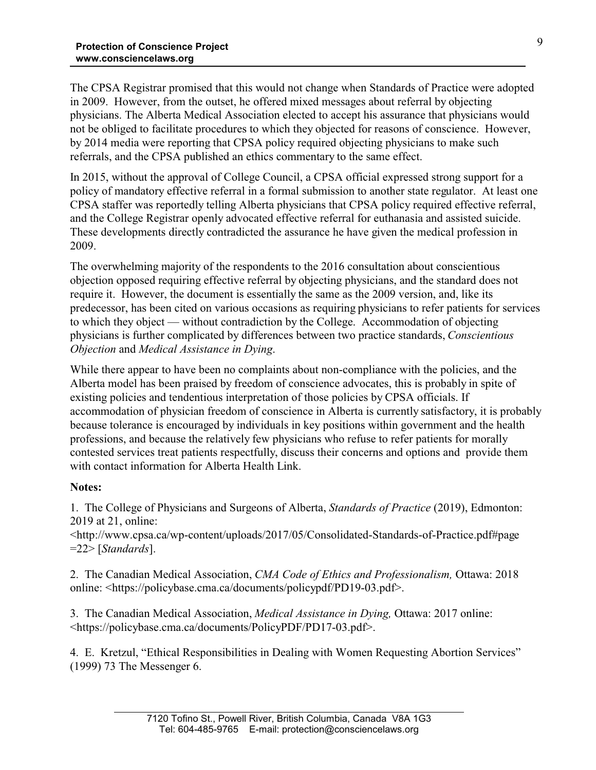The CPSA Registrar promised that this would not change when Standards of Practice were adopted in 2009. However, from the outset, he offered mixed messages about referral by objecting physicians. The Alberta Medical Association elected to accept his assurance that physicians would not be obliged to facilitate procedures to which they objected for reasons of conscience. However, by 2014 media were reporting that CPSA policy required objecting physicians to make such referrals, and the CPSA published an ethics commentary to the same effect.

In 2015, without the approval of College Council, a CPSA official expressed strong support for a policy of mandatory effective referral in a formal submission to another state regulator. At least one CPSA staffer was reportedly telling Alberta physicians that CPSA policy required effective referral, and the College Registrar openly advocated effective referral for euthanasia and assisted suicide. These developments directly contradicted the assurance he have given the medical profession in 2009.

The overwhelming majority of the respondents to the 2016 consultation about conscientious objection opposed requiring effective referral by objecting physicians, and the standard does not require it. However, the document is essentially the same as the 2009 version, and, like its predecessor, has been cited on various occasions as requiring physicians to refer patients for services to which they object — without contradiction by the College. Accommodation of objecting physicians is further complicated by differences between two practice standards, *Conscientious Objection* and *Medical Assistance in Dying*.

While there appear to have been no complaints about non-compliance with the policies, and the Alberta model has been praised by freedom of conscience advocates, this is probably in spite of existing policies and tendentious interpretation of those policies by CPSA officials. If accommodation of physician freedom of conscience in Alberta is currently satisfactory, it is probably because tolerance is encouraged by individuals in key positions within government and the health professions, and because the relatively few physicians who refuse to refer patients for morally contested services treat patients respectfully, discuss their concerns and options and provide them with contact information for Alberta Health Link.

#### **Notes:**

1. The College of Physicians and Surgeons of Alberta, *Standards of Practice* (2019), Edmonton: 2019 at 21, online:

<http://www.cpsa.ca/wp-content/uploads/2017/05/Consolidated-Standards-of-Practice.pdf#page =22> [*Standards*].

2. The Canadian Medical Association, *CMA Code of Ethics and Professionalism,* Ottawa: 2018 online: <https://policybase.cma.ca/documents/policypdf/PD19-03.pdf>.

3. The Canadian Medical Association, *Medical Assistance in Dying,* Ottawa: 2017 online: <https://policybase.cma.ca/documents/PolicyPDF/PD17-03.pdf>.

4. E. Kretzul, "Ethical Responsibilities in Dealing with Women Requesting Abortion Services" (1999) 73 The Messenger 6.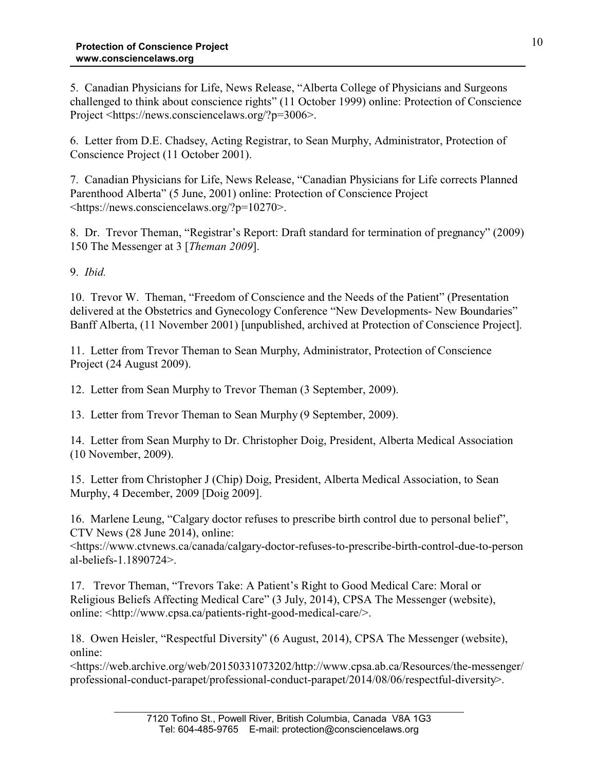5. Canadian Physicians for Life, News Release, "Alberta College of Physicians and Surgeons challenged to think about conscience rights" (11 October 1999) online: Protection of Conscience Project <https://news.consciencelaws.org/?p=3006>.

6. Letter from D.E. Chadsey, Acting Registrar, to Sean Murphy, Administrator, Protection of Conscience Project (11 October 2001).

7. Canadian Physicians for Life, News Release, "Canadian Physicians for Life corrects Planned Parenthood Alberta" (5 June, 2001) online: Protection of Conscience Project <https://news.consciencelaws.org/?p=10270>.

8. Dr. Trevor Theman, "Registrar's Report: Draft standard for termination of pregnancy" (2009) 150 The Messenger at 3 [*Theman 2009*].

9. *Ibid.*

10. Trevor W. Theman, "Freedom of Conscience and the Needs of the Patient" (Presentation delivered at the Obstetrics and Gynecology Conference "New Developments- New Boundaries" Banff Alberta, (11 November 2001) [unpublished, archived at Protection of Conscience Project].

11. Letter from Trevor Theman to Sean Murphy, Administrator, Protection of Conscience Project (24 August 2009).

12. Letter from Sean Murphy to Trevor Theman (3 September, 2009).

13. Letter from Trevor Theman to Sean Murphy (9 September, 2009).

14. Letter from Sean Murphy to Dr. Christopher Doig, President, Alberta Medical Association (10 November, 2009).

15. Letter from Christopher J (Chip) Doig, President, Alberta Medical Association, to Sean Murphy, 4 December, 2009 [Doig 2009].

16. Marlene Leung, "Calgary doctor refuses to prescribe birth control due to personal belief", CTV News (28 June 2014), online:

<https://www.ctvnews.ca/canada/calgary-doctor-refuses-to-prescribe-birth-control-due-to-person al-beliefs-1.1890724>.

17. Trevor Theman, "Trevors Take: A Patient's Right to Good Medical Care: Moral or Religious Beliefs Affecting Medical Care" (3 July, 2014), CPSA The Messenger (website), online: <http://www.cpsa.ca/patients-right-good-medical-care/>.

18. Owen Heisler, "Respectful Diversity" (6 August, 2014), CPSA The Messenger (website), online:

<https://web.archive.org/web/20150331073202/http://www.cpsa.ab.ca/Resources/the-messenger/ professional-conduct-parapet/professional-conduct-parapet/2014/08/06/respectful-diversity>.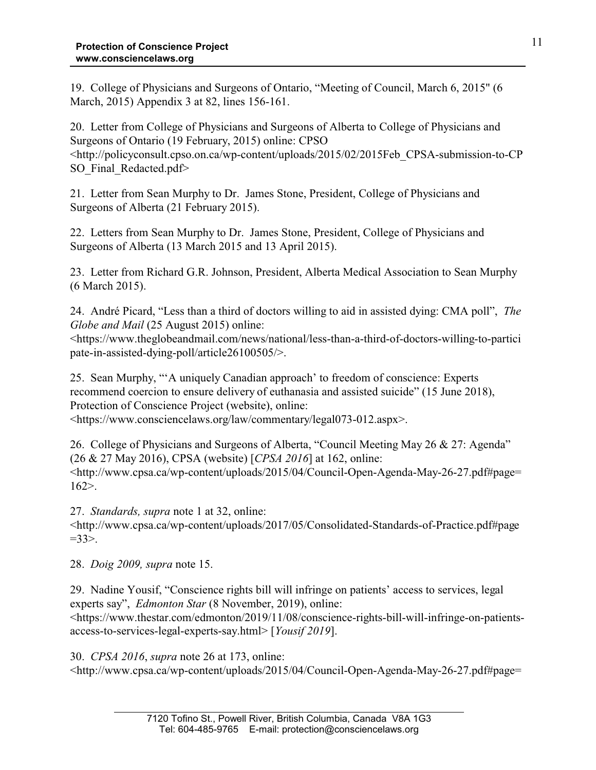19. College of Physicians and Surgeons of Ontario, "Meeting of Council, March 6, 2015" (6 March, 2015) Appendix 3 at 82, lines 156-161.

20. Letter from College of Physicians and Surgeons of Alberta to College of Physicians and Surgeons of Ontario (19 February, 2015) online: CPSO <http://policyconsult.cpso.on.ca/wp-content/uploads/2015/02/2015Feb\_CPSA-submission-to-CP SO Final Redacted.pdf>

21. Letter from Sean Murphy to Dr. James Stone, President, College of Physicians and Surgeons of Alberta (21 February 2015).

22. Letters from Sean Murphy to Dr. James Stone, President, College of Physicians and Surgeons of Alberta (13 March 2015 and 13 April 2015).

23. Letter from Richard G.R. Johnson, President, Alberta Medical Association to Sean Murphy (6 March 2015).

24. André Picard, "Less than a third of doctors willing to aid in assisted dying: CMA poll", *The Globe and Mail* (25 August 2015) online:

<https://www.theglobeandmail.com/news/national/less-than-a-third-of-doctors-willing-to-partici pate-in-assisted-dying-poll/article26100505/>.

25. Sean Murphy, "'A uniquely Canadian approach' to freedom of conscience: Experts recommend coercion to ensure delivery of euthanasia and assisted suicide" (15 June 2018), Protection of Conscience Project (website), online:

<https://www.consciencelaws.org/law/commentary/legal073-012.aspx>.

26. College of Physicians and Surgeons of Alberta, "Council Meeting May 26 & 27: Agenda" (26 & 27 May 2016), CPSA (website) [*CPSA 2016*] at 162, online: <http://www.cpsa.ca/wp-content/uploads/2015/04/Council-Open-Agenda-May-26-27.pdf#page= 162>.

27. *Standards, supra* note 1 at 32, online: <http://www.cpsa.ca/wp-content/uploads/2017/05/Consolidated-Standards-of-Practice.pdf#page  $=33$ 

28. *Doig 2009, supra* note 15.

29. Nadine Yousif, "Conscience rights bill will infringe on patients' access to services, legal experts say", *Edmonton Star* (8 November, 2019), online:

<https://www.thestar.com/edmonton/2019/11/08/conscience-rights-bill-will-infringe-on-patientsaccess-to-services-legal-experts-say.html> [*Yousif 2019*].

30. *CPSA 2016*, *supra* note 26 at 173, online:  $\lt$ http://www.cpsa.ca/wp-content/uploads/2015/04/Council-Open-Agenda-May-26-27.pdf#page=